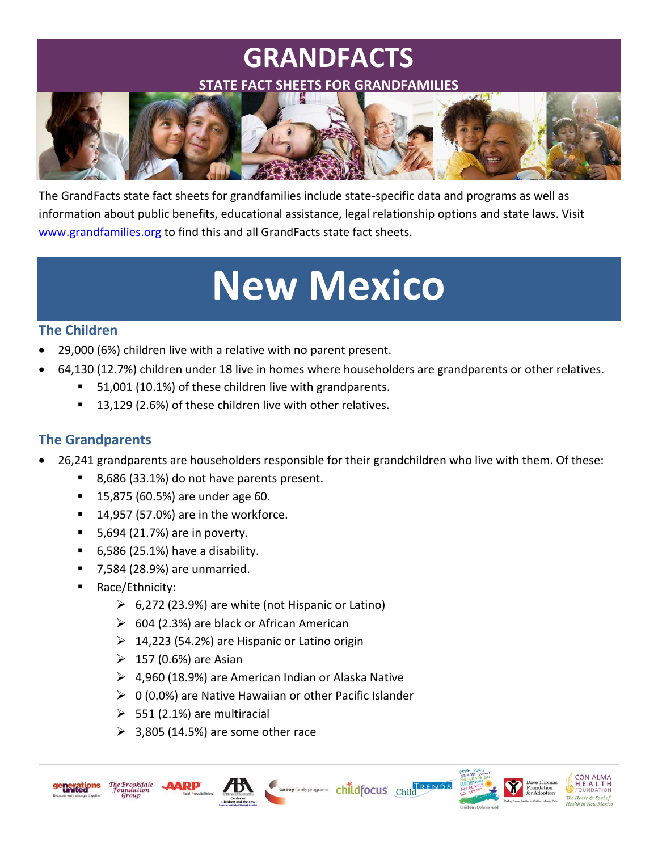# **GRANDFACTS**



The GrandFacts state fact sheets for grandfamilies include state-specific data and programs as well as information about public benefits, educational assistance, legal relationship options and state laws. Visit [www.grandfamilies.org](http://www.grandfamilies.org/) to find this and all GrandFacts state fact sheets.

# **New Mexico**

# **The Children**

- 29,000 (6%) children live with a relative with no parent present.
- 64,130 (12.7%) children under 18 live in homes where householders are grandparents or other relatives.
	- 51,001 (10.1%) of these children live with grandparents.
	- 13,129 (2.6%) of these children live with other relatives.

# **The Grandparents**

26,241 grandparents are householders responsible for their grandchildren who live with them. Of these:

Casey family programs childfocus Child<sup>FRENDS</sup>

- 8,686 (33.1%) do not have parents present.
- **15,875 (60.5%) are under age 60.**
- $14,957$  (57.0%) are in the workforce.
- $\blacksquare$  5,694 (21.7%) are in poverty.
- $\blacksquare$  6,586 (25.1%) have a disability.
- 7,584 (28.9%) are unmarried.
- Race/Ethnicity:
	- $\triangleright$  6,272 (23.9%) are white (not Hispanic or Latino)
	- $\geq$  604 (2.3%) are black or African American
	- $\geq 14,223$  (54.2%) are Hispanic or Latino origin
	- $\geq 157$  (0.6%) are Asian
	- $\geq$  4,960 (18.9%) are American Indian or Alaska Native
	- $\geq 0$  (0.0%) are Native Hawaiian or other Pacific Islander
	- $>$  551 (2.1%) are multiracial
	- $\geq$  3,805 (14.5%) are some other race





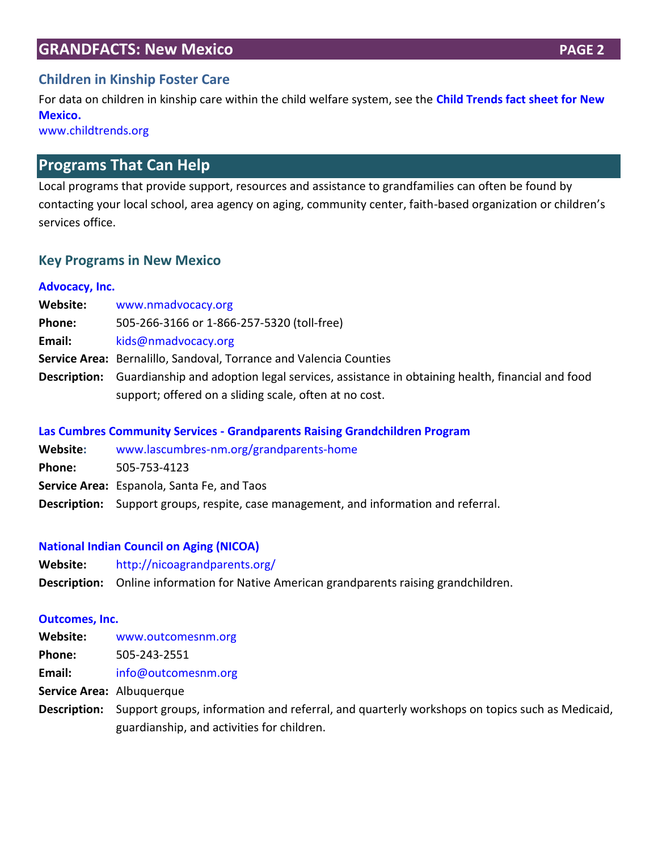# **Children in Kinship Foster Care**

For data on children in kinship care within the child welfare system, see the **[Child Trends fact sheet for New](https://www.childtrends.org/wp-content/uploads/2016/12/New-Mexico-Relative-Caregiving-Factsheet_2014.pdf)  [Mexico.](https://www.childtrends.org/wp-content/uploads/2016/12/New-Mexico-Relative-Caregiving-Factsheet_2014.pdf)**

[www.childtrends.org](http://www.childtrends.org/)

# **Programs That Can Help**

Local programs that provide support, resources and assistance to grandfamilies can often be found by contacting your local school, area agency on aging, community center, faith-based organization or children's services office.

#### **Key Programs in New Mexico**

#### **[Advocacy, Inc.](http://www.nmadvocacy.org/home/)**

| Website:     | www.nmadvocacy.org                                                                                                                                     |
|--------------|--------------------------------------------------------------------------------------------------------------------------------------------------------|
| Phone:       | 505-266-3166 or 1-866-257-5320 (toll-free)                                                                                                             |
| Email:       | kids@nmadvocacy.org                                                                                                                                    |
|              | Service Area: Bernalillo, Sandoval, Torrance and Valencia Counties                                                                                     |
| Description: | Guardianship and adoption legal services, assistance in obtaining health, financial and food<br>support; offered on a sliding scale, often at no cost. |

#### **Las Cumbres Community Services - [Grandparents Raising Grandchildren Program](http://www.lascumbres-nm.org/grandparents-home)**

| Website:      | www.lascumbres-nm.org/grandparents-home                                                     |  |  |
|---------------|---------------------------------------------------------------------------------------------|--|--|
| <b>Phone:</b> | 505-753-4123                                                                                |  |  |
|               | Service Area: Espanola, Santa Fe, and Taos                                                  |  |  |
|               | <b>Description:</b> Support groups, respite, case management, and information and referral. |  |  |

#### **[National Indian Council on Aging \(NICOA\)](http://nicoagrandparents.org/)**

- **Website:** <http://nicoagrandparents.org/>
- **Description:** Online information for Native American grandparents raising grandchildren.

#### **[Outcomes, Inc.](https://www.outcomesnm.org/)**

| Website:     | www.outcomesnm.org                                                                            |
|--------------|-----------------------------------------------------------------------------------------------|
| Phone:       | 505-243-2551                                                                                  |
| Email:       | info@outcomesnm.org                                                                           |
|              | Service Area: Albuquerque                                                                     |
| Description: | Support groups, information and referral, and quarterly workshops on topics such as Medicaid, |
|              | guardianship, and activities for children.                                                    |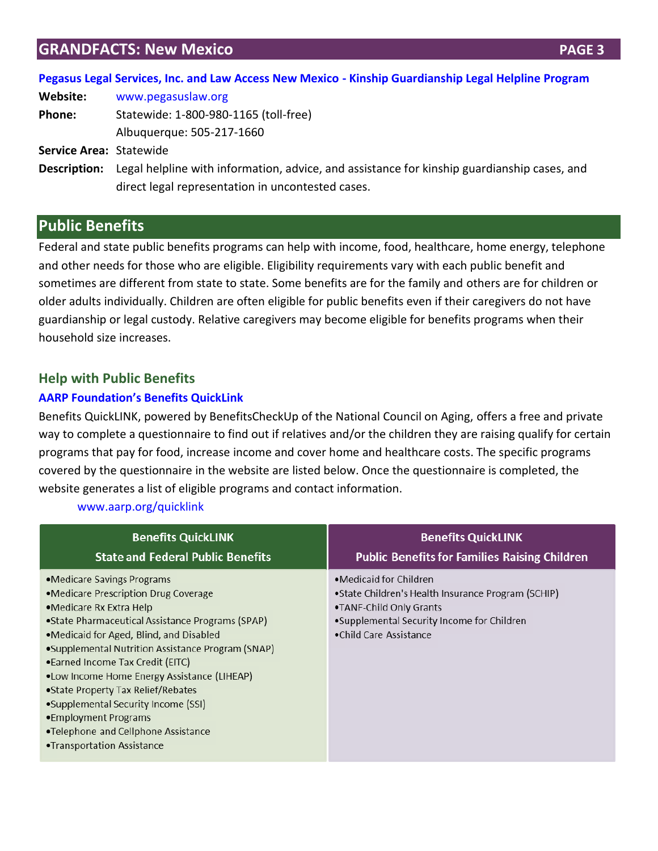| Pegasus Legal Services, Inc. and Law Access New Mexico - Kinship Guardianship Legal Helpline Program |  |  |
|------------------------------------------------------------------------------------------------------|--|--|

| Website:                | www.pegasuslaw.org                                                                                                                               |
|-------------------------|--------------------------------------------------------------------------------------------------------------------------------------------------|
| <b>Phone:</b>           | Statewide: 1-800-980-1165 (toll-free)                                                                                                            |
|                         | Albuquerque: 505-217-1660                                                                                                                        |
| Service Area: Statewide |                                                                                                                                                  |
| Description:            | Legal helpline with information, advice, and assistance for kinship guardianship cases, and<br>direct legal representation in uncontested cases. |

# **Public Benefits**

Federal and state public benefits programs can help with income, food, healthcare, home energy, telephone and other needs for those who are eligible. Eligibility requirements vary with each public benefit and sometimes are different from state to state. Some benefits are for the family and others are for children or older adults individually. Children are often eligible for public benefits even if their caregivers do not have guardianship or legal custody. Relative caregivers may become eligible for benefits programs when their household size increases.

# **Help with Public Benefits**

# **[AARP Foundation's Benefits QuickLink](http://www.aarp.org/quicklink)**

Benefits QuickLINK, powered by BenefitsCheckUp of the National Council on Aging, offers a free and private way to complete a questionnaire to find out if relatives and/or the children they are raising qualify for certain programs that pay for food, increase income and cover home and healthcare costs. The specific programs covered by the questionnaire in the website are listed below. Once the questionnaire is completed, the website generates a list of eligible programs and contact information.

#### [www.aarp.org/quicklink](http://www.aarp.org/quicklink)

| <b>Benefits QuickLINK</b>                                                                                                                                                                                                                                                                                                                                                                                                                                                                                        | <b>Benefits QuickLINK</b>                                                                                                                                                                |
|------------------------------------------------------------------------------------------------------------------------------------------------------------------------------------------------------------------------------------------------------------------------------------------------------------------------------------------------------------------------------------------------------------------------------------------------------------------------------------------------------------------|------------------------------------------------------------------------------------------------------------------------------------------------------------------------------------------|
| <b>State and Federal Public Benefits</b>                                                                                                                                                                                                                                                                                                                                                                                                                                                                         | <b>Public Benefits for Families Raising Children</b>                                                                                                                                     |
| •Medicare Savings Programs<br>•Medicare Prescription Drug Coverage<br>•Medicare Rx Extra Help<br>• State Pharmaceutical Assistance Programs (SPAP)<br>•Medicaid for Aged, Blind, and Disabled<br>•Supplemental Nutrition Assistance Program (SNAP)<br>•Earned Income Tax Credit (EITC)<br>.Low Income Home Energy Assistance (LIHEAP)<br>• State Property Tax Relief/Rebates<br>•Supplemental Security Income (SSI)<br>•Employment Programs<br>.Telephone and Cellphone Assistance<br>•Transportation Assistance | $\bullet$ Medicaid for Children<br>•State Children's Health Insurance Program (SCHIP)<br>•TANF-Child Only Grants<br>•Supplemental Security Income for Children<br>•Child Care Assistance |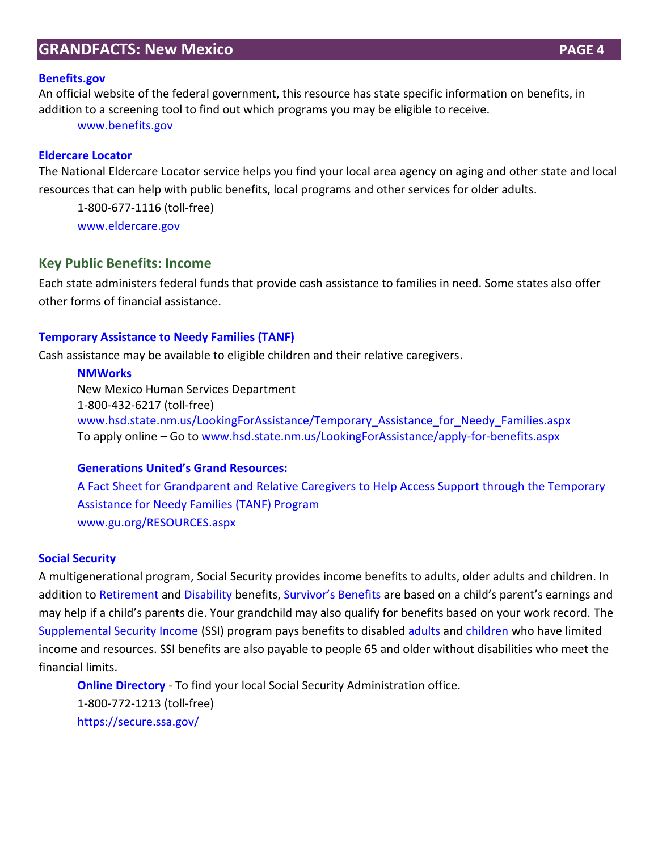#### **[Benefits.gov](http://www.benefits.gov/)**

An official website of the federal government, this resource has state specific information on benefits, in addition to a screening tool to find out which programs you may be eligible to receive.

[www.benefits.gov](http://www.benefits.gov/)

#### **[Eldercare Locator](http://www.eldercare.gov/Eldercare.NET/Public/Index.aspx)**

The National Eldercare Locator service helps you find your local area agency on aging and other state and local resources that can help with public benefits, local programs and other services for older adults.

1-800-677-1116 (toll-free)

[www.eldercare.gov](http://www.eldercare.gov/)

#### **Key Public Benefits: Income**

Each state administers federal funds that provide cash assistance to families in need. Some states also offer other forms of financial assistance.

#### **[Temporary Assistance to Needy Families \(TANF\)](https://www.acf.hhs.gov/ofa/programs/tanf)**

Cash assistance may be available to eligible children and their relative caregivers.

#### **[NMWorks](http://www.hsd.state.nm.us/LookingForAssistance/Temporary_Assistance_for_Needy_Families.aspx)**

New Mexico Human Services Department 1-800-432-6217 (toll-free) [www.hsd.state.nm.us/LookingForAssistance/Temporary\\_Assistance\\_for\\_Needy\\_Families.aspx](http://www.hsd.state.nm.us/LookingForAssistance/Temporary_Assistance_for_Needy_Families.aspx) To apply online – Go t[o www.hsd.state.nm.us/LookingForAssistance/apply-for-benefits.aspx](http://www.hsd.state.nm.us/LookingForAssistance/apply-for-benefits.aspx)

#### **[Generations United's Grand Resources:](http://www.gu.org/LinkClick.aspx?fileticket=ZBNaB6jZmDQ%3d&tabid=157&mid=606)**

A Fact Sheet for [Grandparent and Relative Caregivers to Help Access Support through the Temporary](http://www.gu.org/LinkClick.aspx?fileticket=ZBNaB6jZmDQ%3d&tabid=157&mid=606)  [Assistance for Needy Families \(TANF\) Program](http://www.gu.org/LinkClick.aspx?fileticket=ZBNaB6jZmDQ%3d&tabid=157&mid=606) [www.gu.org/RESOURCES.aspx](http://www.gu.org/RESOURCES.aspx)

#### **[Social Security](http://www.ssa.gov/)**

A multigenerational program, Social Security provides income benefits to adults, older adults and children. In addition to [Retirement](http://www.ssa.gov/pgm/retirement.htm) and [Disability](http://www.ssa.gov/pgm/disability.htm) benefits, [Survivor's Benefits](https://www.ssa.gov/survivors/) are based on a child's parent's earnings and may help if a child's parents die. Your grandchild may also qualify for benefits based on your work record. The [Supplemental Security](http://www.ssa.gov/pgm/ssi.htm) [Income](http://www.ssa.gov/pgm/ssi.htm) (SSI) program pays benefits to disabled [adults](https://www.ssa.gov/disabilityssi/) and [children](http://www.ssa.gov/applyfordisability/child.htm) who have limited income and resources. SSI benefits are also payable to people 65 and older without disabilities who meet the financial limits.

**[Online Directory](https://secure.ssa.gov/apps6z/FOLO/fo001.jsp)** - To find your local Social Security Administration office. 1-800-772-1213 (toll-free) <https://secure.ssa.gov/>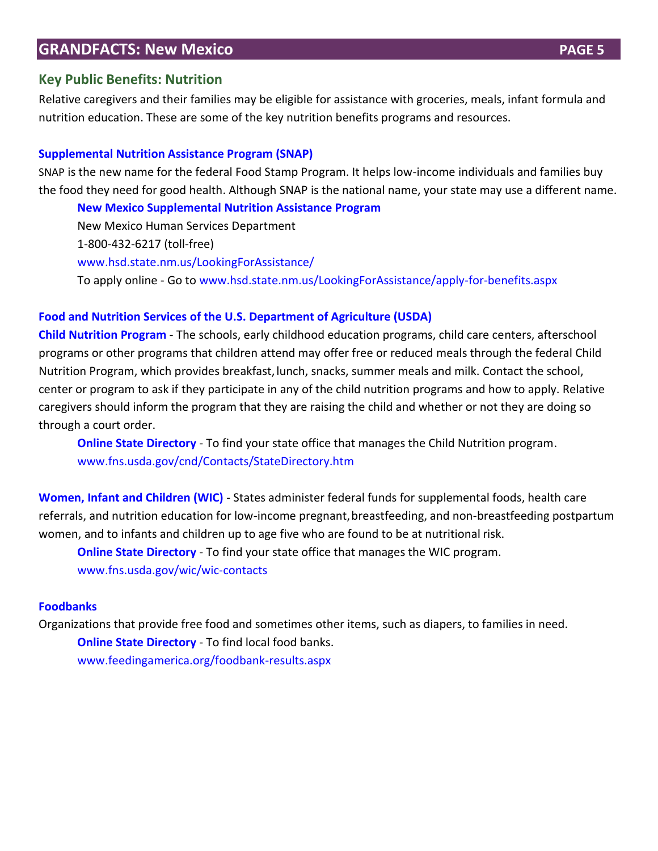#### **Key Public Benefits: Nutrition**

Relative caregivers and their families may be eligible for assistance with groceries, meals, infant formula and nutrition education. These are some of the key nutrition benefits programs and resources.

#### **[Supplemental Nutrition Assistance Program \(SNAP\)](https://www.fns.usda.gov/snap/supplemental-nutrition-assistance-program-snap)**

SNAP is the new name for the federal Food Stamp Program. It helps low-income individuals and families buy the food they need for good health. Although SNAP is the national name, your state may use a different name.

**[New Mexico Supplemental Nutrition Assistance Program](http://www.hsd.state.nm.us/LookingForAssistance/Supplemental_Nutrition_Assistance_Program__SNAP_.aspx)**

New Mexico Human Services Department 1-800-432-6217 (toll-free) [www.hsd.state.nm.us/LookingForAssistance/](http://www.hsd.state.nm.us/LookingForAssistance/S) To apply online - Go to [www.hsd.state.nm.us/LookingForAssistance/apply-for-benefits.aspx](http://www.hsd.state.nm.us/LookingForAssistance/apply-for-benefits.aspx)

#### **[Food and Nutrition Services](https://www.fns.usda.gov/) of the U.S. Department of Agriculture (USDA)**

**[Child Nutrition Program](http://www.fns.usda.gov/fdd/programs/schcnp/)** - The schools, early childhood education programs, child care centers, afterschool programs or other programs that children attend may offer free or reduced meals through the federal Child Nutrition Program, which provides breakfast, lunch, snacks, summer meals and milk. Contact the school, center or program to ask if they participate in any of the child nutrition programs and how to apply. Relative caregivers should inform the program that they are raising the child and whether or not they are doing so through a court order.

**[Online State Directory](http://www.fns.usda.gov/cnd/Contacts/StateDirectory.htm)** - To find your state office that manages the Child Nutrition program. www.fns.usda.gov/cnd/Contacts/StateDirectory.htm

**[Women, Infant and Children \(WIC\)](http://www.fns.usda.gov/wic/)** - States administer federal funds for supplemental foods, health care referrals, and nutrition education for low-income pregnant,breastfeeding, and non-breastfeeding postpartum women, and to infants and children up to age five who are found to be at nutritional risk.

**[Online State Directory](https://www.fns.usda.gov/wic/wic-contacts)** - To find your state office that manages the WIC program. [www.fns.usda.gov/wic/wic-contacts](http://www.fns.usda.gov/wic/wic-contacts)

#### **[Foodbanks](http://www.feedingamerica.org/)**

Organizations that provide free food and sometimes other items, such as diapers, to families in need. **[Online State Directory](http://feedingamerica.org/foodbank-results.aspx)** - To find local food banks. [www.feedingamerica.org/foodbank-results.aspx](http://www.feedingamerica.org/foodbank-results.aspx)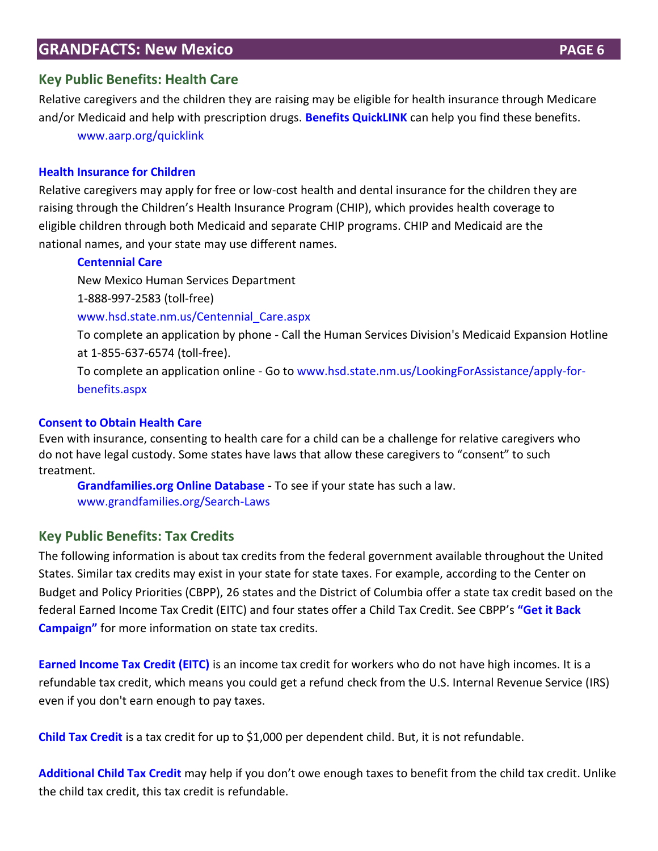# **Key Public Benefits: Health Care**

Relative caregivers and the children they are raising may be eligible for health insurance through Medicare and/or Medicaid and help with prescription drugs. **[Benefits QuickLINK](http://www.aarp.org/quicklink)** can help you find these benefits. [www.aarp.org/quicklink](http://www.aarp.org/quicklink)

#### **[Health Insurance for Children](https://www.medicaid.gov/chip/chip-program-information.html)**

Relative caregivers may apply for free or low-cost health and dental insurance for the children they are raising through the Children's Health Insurance Program (CHIP), which provides health coverage to eligible children through both Medicaid and separate CHIP programs. CHIP and Medicaid are the national names, and your state may use different names.

#### **[Centennial Care](http://www.hsd.state.nm.us/Centennial_Care.aspx)**

New Mexico Human Services Department

1-888-997-2583 (toll-free)

[www.hsd.state.nm.us/Centennial\\_Care.aspx](http://www.hsd.state.nm.us/Centennial_Care.aspx) 

To complete an application by phone - Call the Human Services Division's Medicaid Expansion Hotline at 1-855-637-6574 (toll-free).

To complete an application online - Go to [www.hsd.state.nm.us/LookingForAssistance/apply-for](http://www.hsd.state.nm.us/LookingForAssistance/apply-for-benefits.aspx)[benefits.aspx](http://www.hsd.state.nm.us/LookingForAssistance/apply-for-benefits.aspx)

#### **[Consent to Obtain Health Care](http://www.grandfamilies.org/Topics/Healthcare/Healthcare-Summary-Analysis)**

Even with insurance, consenting to health care for a child can be a challenge for relative caregivers who do not have legal custody. Some states have laws that allow these caregivers to "consent" to such treatment.

**[Grandfamilies.org Online Database](http://www.grandfamilies.org/Search-Laws)** - To see if your state has such a law. [www.grandfamilies.org/Search-Laws](http://www.grandfamilies.org/Search-Laws)

# **Key Public Benefits: Tax Credits**

The following information is about tax credits from the federal government available throughout the United States. Similar tax credits may exist in your state for state taxes. For example, according to the Center on Budget and Policy Priorities (CBPP), 26 states and the District of Columbia offer a state tax credit based on the federal Earned Income Tax Credit (EITC) and four states offer a Child Tax Credit. See CBPP's **["Get it Back](http://www.eitcoutreach.org/learn/tax-credits/earned-income-tax-credit/#state)  [Campaign"](http://www.eitcoutreach.org/learn/tax-credits/earned-income-tax-credit/#state)** for more information on state tax credits.

**[Earned Income Tax Credit \(EITC\)](http://www.irs.gov/individuals/article/0,,id=96406,00.html)** is an income tax credit for workers who do not have high incomes. It is a refundable tax credit, which means you could get a refund check from the U.S. Internal Revenue Service (IRS) even if you don't earn enough to pay taxes.

**[Child Tax Credit](http://www.irs.gov/newsroom/article/0%2C%2Cid=106182%2C00.html)** is a tax credit for up to \$1,000 per dependent child. But, it is not refundable.

**[Additional Child Tax Credit](http://www.irs.gov/publications/p972/ar02.html#en_US_2012_publink100012090)** [m](http://www.irs.gov/publications/p972/ar02.html#en_US_2012_publink100012090)ay help if you don't owe enough taxes to benefit from the child tax credit. Unlike the child tax credit, this tax credit is refundable.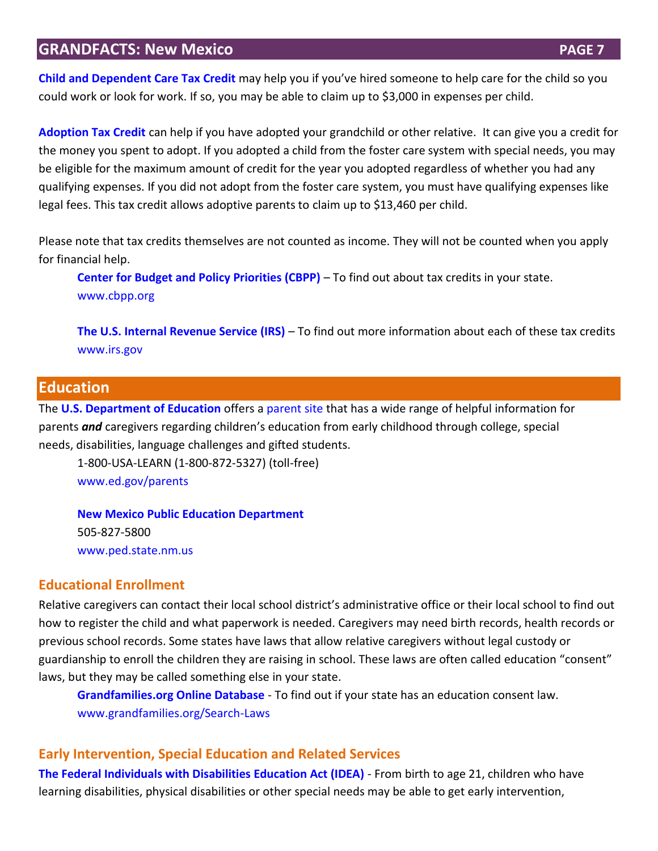**[Child and Dependent Care Tax](https://www.irs.gov/uac/ten-things-to-know-about-the-child-and-dependent-care-credit) Credit** may help you if you've hired someone to help care for the child so you could work or look for work. If so, you may be able to claim up to \$3,000 in expenses per child.

**[Adoption Tax Credit](http://www.irs.gov/taxtopics/tc607.html)** can help if you have adopted your grandchild or other relative. It can give you a credit for the money you spent to adopt. If you adopted a child from the foster care system with special needs, you may be eligible for the maximum amount of credit for the year you adopted regardless of whether you had any qualifying expenses. If you did not adopt from the foster care system, you must have qualifying expenses like legal fees. This tax credit allows adoptive parents to claim up to \$13,460 per child.

Please note that tax credits themselves are not counted as income. They will not be counted when you apply for financial help.

**[Center for Budget and Policy Priorities \(CBPP\)](http://www.eitcoutreach.org/learn/tax-credits/earned-income-tax-credit/#state)** – To find out about tax credits in your state. [www.cbpp.org](http://www.cbpp.org/)

**[The U.S. Internal Revenue Service \(IRS\)](http://www.irs.gov/)** – To find out more information about each of these tax credits [www.irs.gov](http://www.irs.gov/)

# **Education**

The **[U.S. Department of Education](http://www.ed.gov/)** offers a [parent site](http://www2.ed.gov/parents/landing.jhtml?src=ln) that has a wide range of helpful information for parents *and* caregivers regarding children's education from early childhood through college, special needs, disabilities, language challenges and gifted students.

1-800-USA-LEARN (1-800-872-5327) (toll-free) [www.ed.gov/parents](http://www.ed.gov/parents)

**[New Mexico Public Education Department](http://www.ped.state.nm.us/)** 505-827-5800 [www.ped.state.nm.us](http://www.ped.state.nm.us/)

#### **Educational Enrollment**

Relative caregivers can contact their local school district's administrative office or their local school to find out how to register the child and what paperwork is needed. Caregivers may need birth records, health records or previous school records. Some states have laws that allow relative caregivers without legal custody or guardianship to enroll the children they are raising in school. These laws are often called education "consent" laws, but they may be called something else in your state.

**[Grandfamilies.org Online Database](http://www.grandfamilies.org/Search-Laws)** - To find out if your state has an education consent law. [www.grandfamilies.org/Search-Laws](http://www.grandfamilies.org/Search-Laws)

#### **Early Intervention, Special Education and Related Services**

**[The Federal Individuals with Disabilities Education Act \(IDEA\)](https://www2.ed.gov/about/offices/list/osers/osep/osep-idea.html)** - From birth to age 21, children who have learning disabilities, physical disabilities or other special needs may be able to get early intervention,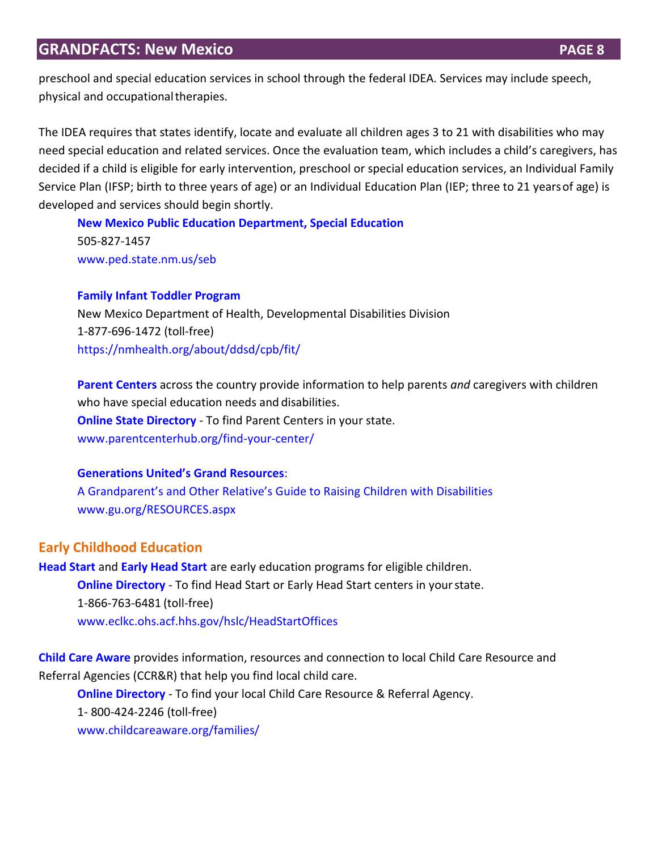preschool and special education services in school through the federal IDEA. Services may include speech, physical and occupationaltherapies.

The IDEA requires that states identify, locate and evaluate all children ages 3 to 21 with disabilities who may need special education and related services. Once the evaluation team, which includes a child's caregivers, has decided if a child is eligible for early intervention, preschool or special education services, an Individual Family Service Plan (IFSP; birth to three years of age) or an Individual Education Plan (IEP; three to 21 yearsof age) is developed and services should begin shortly.

**[New Mexico Public Education Department, Special Education](http://www.ped.state.nm.us/seb)** 505-827-1457 [www.ped.state.nm.us/seb](http://www.ped.state.nm.us/seb) 

#### **[Family Infant Toddler Program](https://nmhealth.org/about/ddsd/cpb/fit/)**

New Mexico Department of Health, Developmental Disabilities Division 1-877-696-1472 (toll-free) <https://nmhealth.org/about/ddsd/cpb/fit/>

**[Parent Centers](http://www.parentcenterhub.org/)** across the country provide information to help parents *and* caregivers with children who have special education needs and disabilities. **[Online State Directory](http://www.parentcenterhub.org/find-your-center/)** - To find Parent Centers in your state. www.parentcenterhub.org/find-your-center/

#### **G[enerations United's G](https://s3.amazonaws.com/pushbullet-uploads/ujzNDwQrsR2-e9bzzqRW17gTKJfeJd1zxrArTZrlgITZ/2013-grandfamilies-GrandResourcesFULLGUIDE.pdf)rand Resources**:

[A Grandparent's and Other Relative's Guide to Raising Children with Disabilities](https://s3.amazonaws.com/pushbullet-uploads/ujzNDwQrsR2-e9bzzqRW17gTKJfeJd1zxrArTZrlgITZ/2013-grandfamilies-GrandResourcesFULLGUIDE.pdf) [www.gu.org/RESOURCES.aspx](http://www.gu.org/RESOURCES.aspx)

# **Early Childhood Education**

**[Head Start](http://eclkc.ohs.acf.hhs.gov/hslc/tta-system/family/For%20Parents)** and **[Early Head Start](https://eclkc.ohs.acf.hhs.gov/hslc/tta-system/ehsnrc)** are early education programs for eligible children. **[Online Directory](http://eclkc.ohs.acf.hhs.gov/hslc/HeadStartOffices)** - To find Head Start or Early Head Start centers in your state. 1-866-763-6481 (toll-free) [www.eclkc.ohs.acf.hhs.gov/hslc/HeadStartOffices](http://www.eclkc.ohs.acf.hhs.gov/hslc/HeadStartOffices)

**[Child Care Aware](http://childcareaware.org/families/)** provides information, resources and connection to local Child Care Resource and Referral Agencies (CCR&R) that help you find local child care.

**[Online Directory](http://childcareaware.org/families/)** - To find your local Child Care Resource & Referral Agency. 1- 800-424-2246 (toll-free) [www.childcareaware.org/families/](http://www.childcareaware.org/families/)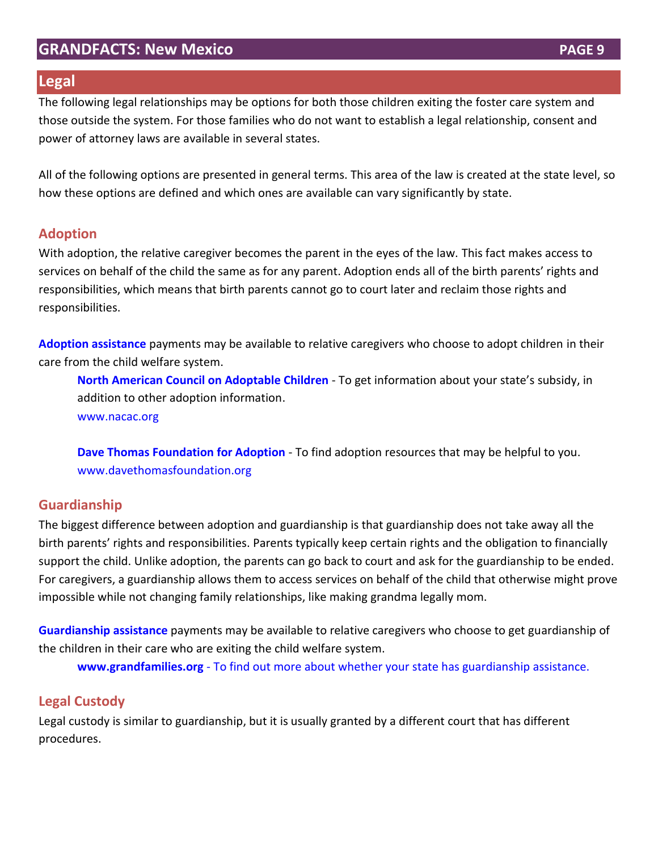## **Legal**

The following legal relationships may be options for both those children exiting the foster care system and those outside the system. For those families who do not want to establish a legal relationship, consent and power of attorney laws are available in several states.

All of the following options are presented in general terms. This area of the law is created at the state level, so how these options are defined and which ones are available can vary significantly by state.

# **Adoption**

With adoption, the relative caregiver becomes the parent in the eyes of the law. This fact makes access to services on behalf of the child the same as for any parent. Adoption ends all of the birth parents' rights and responsibilities, which means that birth parents cannot go to court later and reclaim those rights and responsibilities.

**[Adoption assistance](http://www.nacac.org/adoptionsubsidy/stateprofiles.html)** payments may be available to relative caregivers who choose to adopt children in their care from the child welfare system.

**[North American Council on Adoptable Children](http://www.nacac.org/adoptionsubsidy/stateprofiles.html)** - To get information about your state's subsidy, in addition to other adoption information. [www.nacac.org](http://www.nacac.org/)

**[Dave Thomas Foundation for Adoption](https://davethomasfoundation.org/)** - To find adoption resources that may be helpful to you. [www.davethomasfoundation.org](http://www.davethomasfoundation.org/)

# **Guardianship**

The biggest difference between adoption and guardianship is that guardianship does not take away all the birth parents' rights and responsibilities. Parents typically keep certain rights and the obligation to financially support the child. Unlike adoption, the parents can go back to court and ask for the guardianship to be ended. For caregivers, a guardianship allows them to access services on behalf of the child that otherwise might prove impossible while not changing family relationships, like making grandma legally mom.

**[Guardianship assistance](http://www.grandfamilies.org/Topics/Subsidized-Guardianship/Subsidized-Guardianship-Summary-Analysis)** payments may be available to relative caregivers who choose to get guardianship of the children in their care who are exiting the child welfare system.

**[www.grandfamilies.org](http://www.grandfamilies.org/)** - To find out more about whether your state has guardianship assistance.

# **Legal Custody**

Legal custody is similar to guardianship, but it is usually granted by a different court that has different procedures.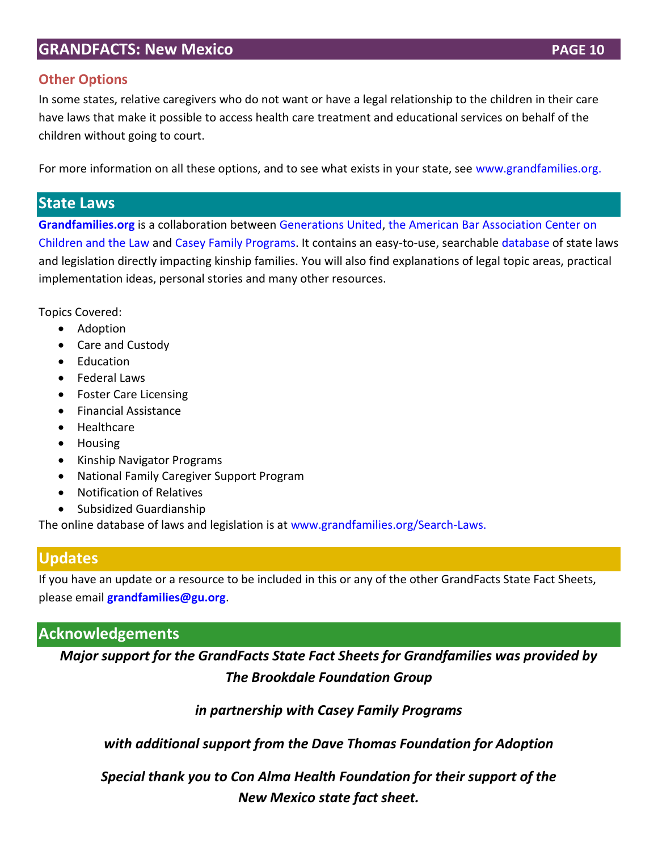# **Other Options**

In some states, relative caregivers who do not want or have a legal relationship to the children in their care have laws that make it possible to access health care treatment and educational services on behalf of the children without going to court.

For more information on all these options, and to see what exists in your state, see [www.grandfamilies.org.](http://www.grandfamilies.org/)

# **State Laws**

**[Grandfamilies.org](http://www.grandfamilies.org/)** is a collaboration between [Generations United,](http://www.gu.org/) [the American Bar Association Center on](http://www.americanbar.org/groups/child_law.html)  [Children and the Law](http://www.americanbar.org/groups/child_law.html) and [Casey Family Programs.](http://www.casey.org/) It contains an easy-to-use, searchable [database](http://www.grandfamilies.org/Search-Laws) of state laws and legislation directly impacting kinship families. You will also find explanations of legal topic areas, practical implementation ideas, personal stories and many other resources.

Topics Covered:

- Adoption
- Care and Custody
- Education
- Federal Laws
- Foster Care Licensing
- **•** Financial Assistance
- Healthcare
- Housing
- Kinship Navigator Programs
- National Family Caregiver Support Program
- Notification of Relatives
- Subsidized Guardianship

The online database of laws and legislation is at [www.grandfamilies.org/Search-Laws.](http://www.grandfamilies.org/Search-Laws)

# **Updates**

If you have an update or a resource to be included in this or any of the other GrandFacts State Fact Sheets, please email **[grandfamilies@gu.org](mailto:grandfamilies@gu.org)**.

# **Acknowledgements**

*Major support for the GrandFacts State Fact Sheets for Grandfamilies was provided by The Brookdale Foundation Group*

*in partnership with Casey Family Programs*

*with additional support from the Dave Thomas Foundation for Adoption*

*Special thank you to Con Alma Health Foundation for their support of the New Mexico state fact sheet.*